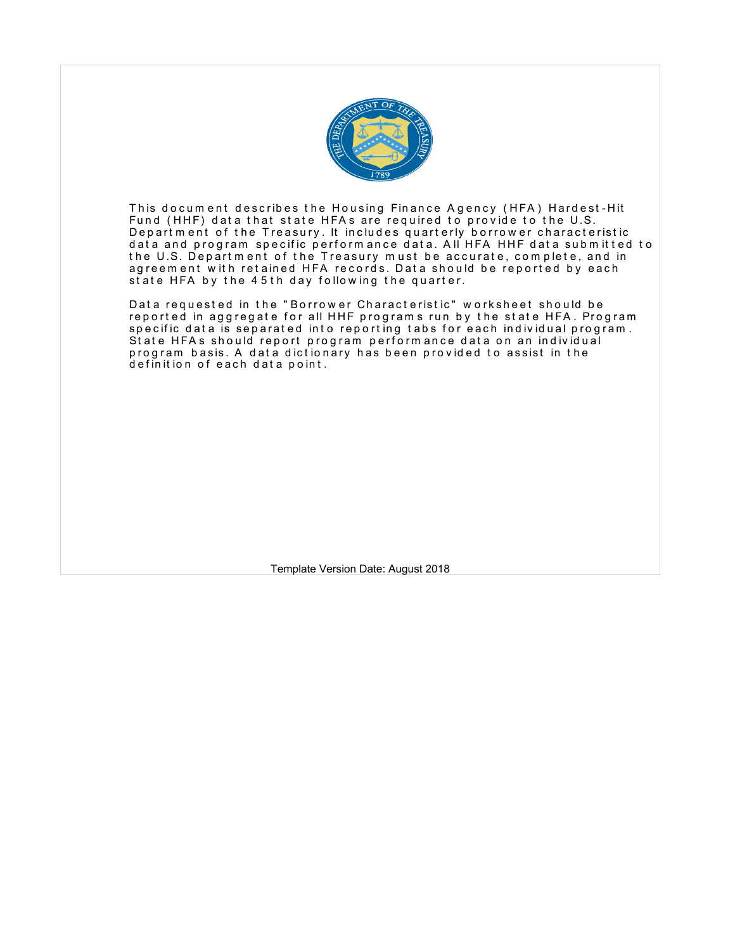

This document describes the Housing Finance Agency (HFA) Hardest-Hit Fund (HHF) data that state HFAs are required to provide to the U.S. Depart m ent of the Treasury. It includes quarterly borrower characteristic data and program specific performance data. All HFA HHF data submitted to the U.S. Department of the Treasury must be accurate, complete, and in agreem ent with retained HFA records. Data should be reported by each state HFA by the 45th day following the quarter.

Data requested in the "Borrower Characteristic" worksheet should be reported in aggregate for all HHF programs run by the state HFA. Program specific data is separated into reporting tabs for each individual program. State HFAs should report program performance data on an individual program basis. A data dictionary has been provided to assist in the definition of each data point.

Template Version Date: August 2018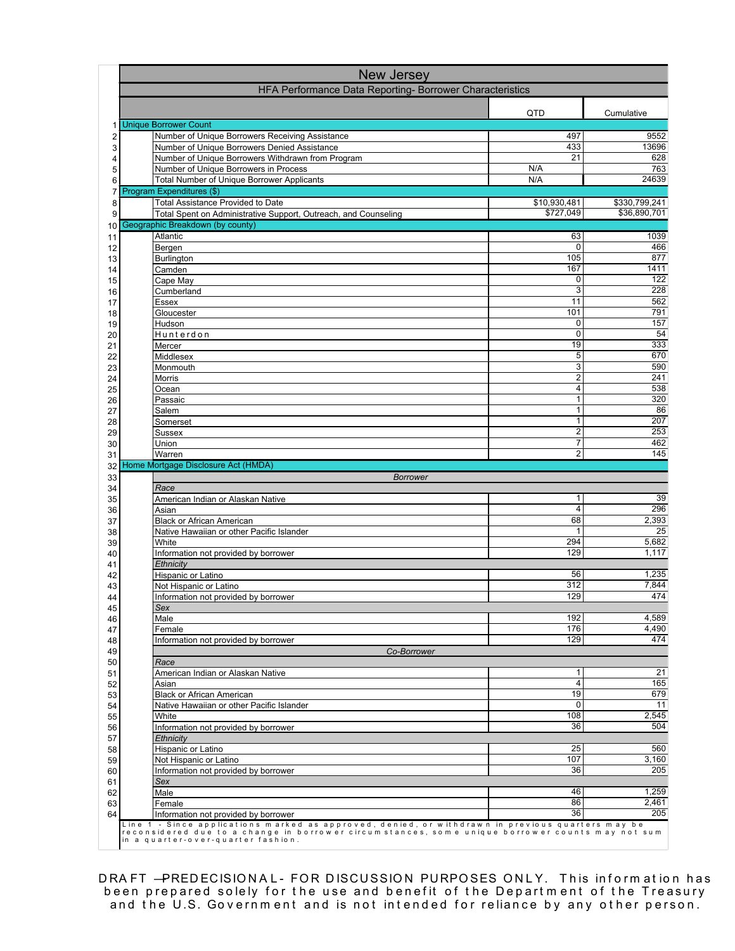|          | New Jersey                                                                                                                               |                                         |                        |
|----------|------------------------------------------------------------------------------------------------------------------------------------------|-----------------------------------------|------------------------|
|          | HFA Performance Data Reporting- Borrower Characteristics                                                                                 |                                         |                        |
|          |                                                                                                                                          | QTD                                     | Cumulative             |
| 1<br>2   | <b>Unique Borrower Count</b><br>Number of Unique Borrowers Receiving Assistance                                                          | 497                                     | 9552                   |
| 3        | Number of Unique Borrowers Denied Assistance                                                                                             | 433                                     | 13696                  |
| 4        | Number of Unique Borrowers Withdrawn from Program                                                                                        | 21                                      | 628                    |
| 5<br>6   | Number of Unique Borrowers in Process<br><b>Total Number of Unique Borrower Applicants</b>                                               | N/A<br>N/A                              | 763<br>24639           |
| 7        | Program Expenditures (\$)                                                                                                                |                                         |                        |
| 8        | <b>Total Assistance Provided to Date</b>                                                                                                 | \$10,930,481                            | \$330,799,241          |
| 9        | Total Spent on Administrative Support, Outreach, and Counseling                                                                          | \$727,049                               | \$36,890,701           |
| 10<br>11 | Geographic Breakdown (by county)<br>Atlantic                                                                                             | 63                                      | 1039                   |
| 12       | Bergen                                                                                                                                   | 0                                       | 466                    |
| 13       | Burlington                                                                                                                               | 105                                     | 877                    |
| 14       | Camden                                                                                                                                   | 167<br>0                                | 1411<br>122            |
| 15<br>16 | Cape May<br>Cumberland                                                                                                                   | 3                                       | 228                    |
| 17       | Essex                                                                                                                                    | 11                                      | 562                    |
| 18       | Gloucester                                                                                                                               | 101                                     | 791                    |
| 19<br>20 | Hudson<br>Hunterdon                                                                                                                      | 0<br>$\mathbf 0$                        | 157<br>$\overline{54}$ |
| 21       | Mercer                                                                                                                                   | 19                                      | 333                    |
| 22       | Middlesex                                                                                                                                | 5                                       | 670                    |
| 23       | Monmouth                                                                                                                                 | 3<br>$\overline{c}$                     | 590<br>241             |
| 24<br>25 | Morris<br>Ocean                                                                                                                          | 4                                       | 538                    |
| 26       | Passaic                                                                                                                                  | 1                                       | $\overline{320}$       |
| 27       | Salem                                                                                                                                    | 1                                       | 86                     |
| 28       | Somerset<br><b>Sussex</b>                                                                                                                | $\mathbf{1}$<br>$\overline{\mathbf{c}}$ | 207<br>253             |
| 29<br>30 | Union                                                                                                                                    | $\overline{7}$                          | 462                    |
| 31       | Warren                                                                                                                                   | $\overline{2}$                          | 145                    |
| 32       | Home Mortgage Disclosure Act (HMDA)                                                                                                      |                                         |                        |
| 33<br>34 | <b>Borrower</b><br>Race                                                                                                                  |                                         |                        |
| 35       | American Indian or Alaskan Native                                                                                                        | 1                                       | 39                     |
| 36       | Asian                                                                                                                                    | 4                                       | 296                    |
| 37<br>38 | <b>Black or African American</b><br>Native Hawaiian or other Pacific Islander                                                            | 68<br>$\mathbf{1}$                      | 2,393<br>25            |
| 39       | White                                                                                                                                    | 294                                     | 5,682                  |
| 40       | Information not provided by borrower                                                                                                     | 129                                     | 1,117                  |
| 41       | Ethnicity<br>Hispanic or Latino                                                                                                          | 56                                      | 1,235                  |
| 42<br>43 | Not Hispanic or Latino                                                                                                                   | 312                                     | 7,844                  |
| 44       | Information not provided by borrower                                                                                                     | 129                                     | 474                    |
| 45       | Sex                                                                                                                                      |                                         |                        |
| 46<br>47 | Male<br>Female                                                                                                                           | 192<br>176                              | 4,589<br>4,490         |
| 48       | Information not provided by borrower                                                                                                     | 129                                     | 474                    |
| 49       | Co-Borrower                                                                                                                              |                                         |                        |
| 50<br>51 | Race                                                                                                                                     | 1                                       | 21                     |
| 52       | American Indian or Alaskan Native<br>Asian                                                                                               | 4                                       | 165                    |
| 53       | <b>Black or African American</b>                                                                                                         | 19                                      | 679                    |
| 54       | Native Hawaiian or other Pacific Islander                                                                                                | 0                                       | 11<br>2,545            |
| 55<br>56 | White<br>Information not provided by borrower                                                                                            | 108<br>36                               | 504                    |
| 57       | Ethnicity                                                                                                                                |                                         |                        |
| 58       | Hispanic or Latino                                                                                                                       | 25                                      | 560                    |
| 59       | Not Hispanic or Latino                                                                                                                   | 107<br>36                               | 3,160<br>205           |
| 60<br>61 | Information not provided by borrower<br>Sex                                                                                              |                                         |                        |
| 62       | Male                                                                                                                                     | 46                                      | 1,259                  |
| 63       | Female                                                                                                                                   | 86                                      | 2.461                  |
| 64       | Information not provided by borrower<br>Line 1 - Since applications marked as approved, denied, or withdrawn in previous quarters may be | 36                                      | 205                    |
|          | reconsidered due to a change in borrower circum stances, som e unique borrower counts may not sum<br>in a quarter-over-quarter fashion.  |                                         |                        |

DRA FT —PREDECISIONAL- FOR DISCUSSION PURPOSES ONLY. This information has been prepared solely for the use and benefit of the Department of the Treasury and the U.S. Government and is not intended for reliance by any other person.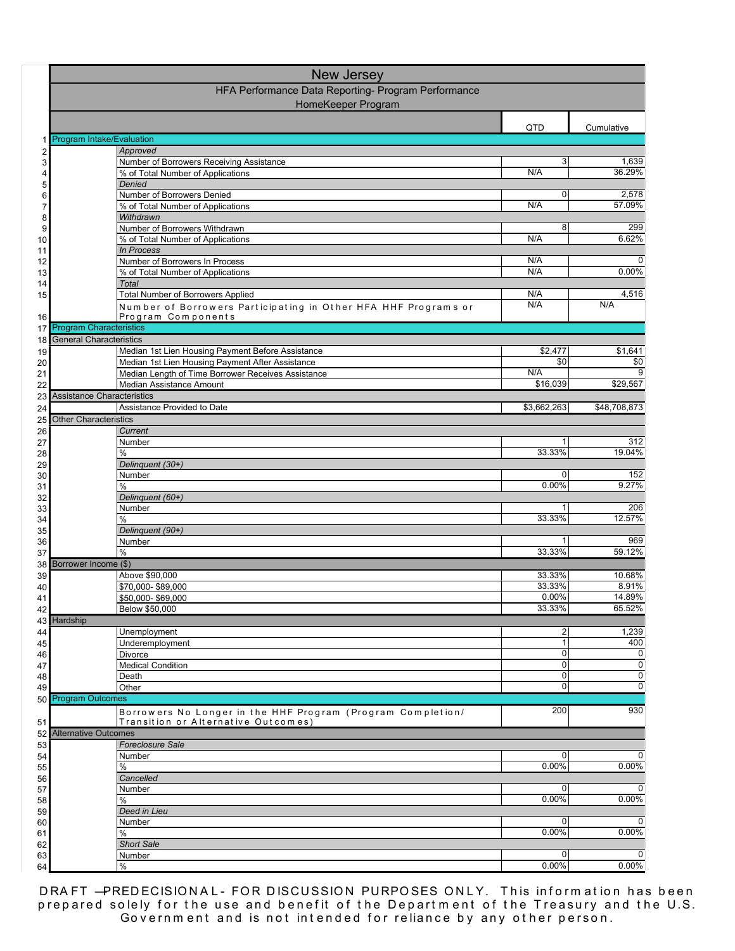|          | <b>New Jersey</b>                                                                                      |                     |                                  |
|----------|--------------------------------------------------------------------------------------------------------|---------------------|----------------------------------|
|          | HFA Performance Data Reporting- Program Performance                                                    |                     |                                  |
|          | HomeKeeper Program                                                                                     |                     |                                  |
|          |                                                                                                        | QTD                 | Cumulative                       |
|          | Program Intake/Evaluation                                                                              |                     |                                  |
| 2        | Approved                                                                                               | 3                   | 1,639                            |
| 3        | Number of Borrowers Receiving Assistance<br>% of Total Number of Applications                          | N/A                 | 36.29%                           |
| 5        | Denied                                                                                                 |                     |                                  |
| 6        | Number of Borrowers Denied                                                                             | 0                   | 2,578                            |
| 7<br>8   | % of Total Number of Applications<br>Withdrawn                                                         | N/A                 | 57.09%                           |
| 9        | Number of Borrowers Withdrawn                                                                          | 8                   | 299                              |
| 10       | % of Total Number of Applications                                                                      | N/A                 | 6.62%                            |
| 11       | In Process<br>Number of Borrowers In Process                                                           | N/A                 | $\Omega$                         |
| 12<br>13 | % of Total Number of Applications                                                                      | N/A                 | $0.00\%$                         |
| 14       | Total                                                                                                  |                     |                                  |
| 15       | <b>Total Number of Borrowers Applied</b>                                                               | N/A                 | 4,516                            |
| 16       | Number of Borrowers Participating in Other HFA HHF Programs or<br>Program Components                   | N/A                 | N/A                              |
| 17       | <b>Program Characteristics</b>                                                                         |                     |                                  |
| 18       | <b>General Characteristics</b>                                                                         |                     |                                  |
| 19       | Median 1st Lien Housing Payment Before Assistance                                                      | \$2,477<br>\$0      | \$1,641                          |
| 20<br>21 | Median 1st Lien Housing Payment After Assistance<br>Median Length of Time Borrower Receives Assistance | N/A                 | \$0<br>9                         |
| 22       | Median Assistance Amount                                                                               | \$16,039            | \$29,567                         |
| 23       | <b>Assistance Characteristics</b>                                                                      |                     |                                  |
| 24       | Assistance Provided to Date                                                                            | \$3,662,263         | \$48,708,873                     |
| 25<br>26 | <b>Other Characteristics</b><br>Current                                                                |                     |                                  |
| 27       | Number                                                                                                 | 1                   | 312                              |
| 28       | %                                                                                                      | 33.33%              | 19.04%                           |
| 29       | Delinquent (30+)                                                                                       | 0                   | 152                              |
| 30<br>31 | Number<br>%                                                                                            | 0.00%               | 9.27%                            |
| 32       | Delinquent (60+)                                                                                       |                     |                                  |
| 33       | Number                                                                                                 | 1                   | 206                              |
| 34<br>35 | %<br>Delinguent (90+)                                                                                  | 33.33%              | 12.57%                           |
| 36       | Number                                                                                                 |                     | 969                              |
| 37       | $\frac{0}{0}$                                                                                          | 33.33%              | 59.12%                           |
| 38       | Borrower Income (\$)<br>Above \$90,000                                                                 | 33.33%              | 10.68%                           |
| 39<br>40 | \$70,000-\$89,000                                                                                      | 33.33%              | 8.91%                            |
| 41       | \$50,000-\$69,000                                                                                      | 0.00%               | 14.89%                           |
| 42       | <b>Below \$50,000</b>                                                                                  | 33.33%              | 65.52%                           |
| 44       | 43 Hardship<br>Unemployment                                                                            | $\overline{c}$      | 1,239                            |
| 45       | Underemployment                                                                                        | $\mathbf{1}$        | 400                              |
| 46       | <b>Divorce</b>                                                                                         | 0                   | $\mathbf{0}$                     |
| 47       | <b>Medical Condition</b>                                                                               | 0<br>$\overline{0}$ | $\overline{0}$<br>$\overline{0}$ |
| 48<br>49 | Death<br>Other                                                                                         | 0                   | $\mathbf{0}$                     |
|          | 50 Program Outcomes                                                                                    |                     |                                  |
|          | Borrowers No Longer in the HHF Program (Program Completion/                                            | 200                 | 930                              |
| 51       | Transition or Alternative Outcomes)                                                                    |                     |                                  |
| 53       | 52 Alternative Outcomes<br><b>Foreclosure Sale</b>                                                     |                     |                                  |
| 54       | Number                                                                                                 | 0                   | $\mathbf{0}$                     |
| 55       | $\%$                                                                                                   | 0.00%               | $0.00\%$                         |
| 56       | Cancelled                                                                                              | 0                   | $\Omega$                         |
| 57<br>58 | Number<br>%                                                                                            | 0.00%               | 0.00%                            |
| 59       | Deed in Lieu                                                                                           |                     |                                  |
| 60       | Number                                                                                                 | 0                   | $\mathbf{0}$                     |
| 61<br>62 | %<br><b>Short Sale</b>                                                                                 | 0.00%               | $0.00\%$                         |
| 63       | Number                                                                                                 | 0                   | $\mathbf{0}$                     |
| 64       | $\%$                                                                                                   | 0.00%               | $0.00\%$                         |

DRA FT —PREDECISIONAL- FOR DISCUSSION PURPOSES ONLY. This information has been prepared solely for the use and benefit of the Department of the Treasury and the U.S. Government and is not intended for reliance by any other person.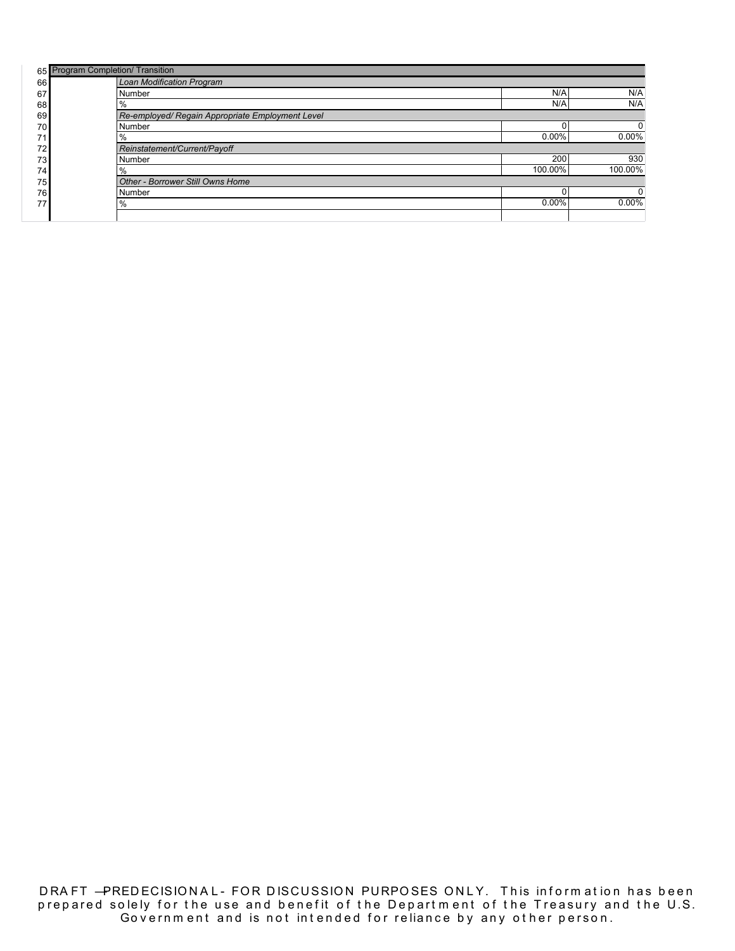|                 | 65 Program Completion/ Transition                |          |          |
|-----------------|--------------------------------------------------|----------|----------|
| 66              | Loan Modification Program                        |          |          |
| 67              | <b>Number</b>                                    | N/A      | N/A      |
| 68              | %                                                | N/A      | N/A      |
| 69              | Re-employed/ Regain Appropriate Employment Level |          |          |
| 70              | Number                                           |          |          |
| 71              | %                                                | $0.00\%$ | 0.00%    |
| 72 <sub>1</sub> | Reinstatement/Current/Payoff                     |          |          |
| 73              | <b>Number</b>                                    | 200      | 930      |
| 74              | $\frac{0}{0}$                                    | 100.00%  | 100.00%  |
| 75              | Other - Borrower Still Owns Home                 |          |          |
| 76              | Number                                           |          |          |
| 77              | %                                                | $0.00\%$ | $0.00\%$ |
|                 |                                                  |          |          |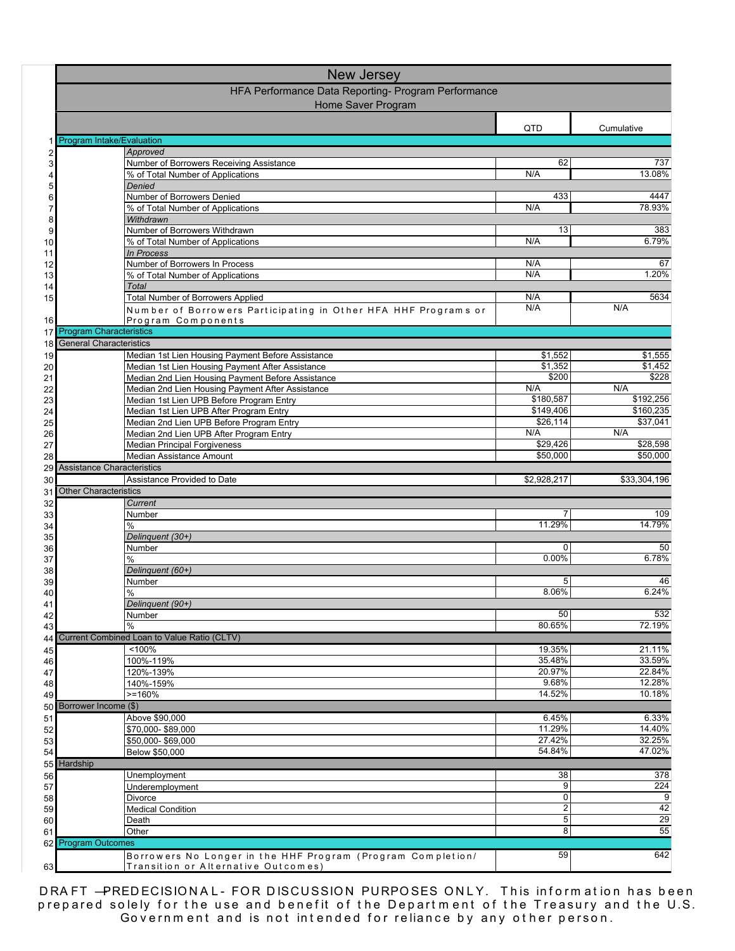|                            | <b>New Jersey</b>                                                                                     |                         |                  |  |
|----------------------------|-------------------------------------------------------------------------------------------------------|-------------------------|------------------|--|
|                            | HFA Performance Data Reporting- Program Performance                                                   |                         |                  |  |
|                            | Home Saver Program                                                                                    |                         |                  |  |
|                            |                                                                                                       | QTD                     | Cumulative       |  |
|                            | <b>Program Intake/Evaluation</b>                                                                      |                         |                  |  |
| $\overline{\mathbf{c}}$    | Approved                                                                                              | 62                      | 737              |  |
| 3<br>4                     | Number of Borrowers Receiving Assistance<br>% of Total Number of Applications                         | N/A                     | 13.08%           |  |
| 5                          | Denied                                                                                                |                         |                  |  |
| 6                          | Number of Borrowers Denied                                                                            | 433                     | 4447             |  |
| 7<br>8                     | % of Total Number of Applications<br>Withdrawn                                                        | N/A                     | 78.93%           |  |
| 9                          | Number of Borrowers Withdrawn                                                                         | 13                      | 383              |  |
| 10                         | % of Total Number of Applications                                                                     | N/A                     | 6.79%            |  |
| 11                         | In Process                                                                                            | N/A                     | 67               |  |
| 12<br>13                   | Number of Borrowers In Process<br>% of Total Number of Applications                                   | N/A                     | 1.20%            |  |
| 14                         | <b>Total</b>                                                                                          |                         |                  |  |
| 15                         | <b>Total Number of Borrowers Applied</b>                                                              | N/A                     | 5634             |  |
| 16                         | Number of Borrowers Participating in Other HFA HHF Programs or<br>Program Components                  | N/A                     | N/A              |  |
| 17 <sup>1</sup>            | <b>Program Characteristics</b>                                                                        |                         |                  |  |
| 18                         | <b>General Characteristics</b>                                                                        |                         |                  |  |
| 19                         | Median 1st Lien Housing Payment Before Assistance                                                     | \$1,552                 | \$1,555          |  |
| 20                         | Median 1st Lien Housing Payment After Assistance<br>Median 2nd Lien Housing Payment Before Assistance | \$1,352<br>\$200        | \$1,452<br>\$228 |  |
| 21<br>22                   | Median 2nd Lien Housing Payment After Assistance                                                      | N/A                     | N/A              |  |
| 23                         | Median 1st Lien UPB Before Program Entry                                                              | \$180,587               | \$192,256        |  |
| 24                         | Median 1st Lien UPB After Program Entry                                                               | \$149,406               | \$160,235        |  |
| 25<br>26                   | Median 2nd Lien UPB Before Program Entry<br>Median 2nd Lien UPB After Program Entry                   | \$26,114<br>N/A         | \$37,041<br>N/A  |  |
| 27                         | <b>Median Principal Forgiveness</b>                                                                   | \$29,426                | \$28,598         |  |
| 28                         | Median Assistance Amount                                                                              | \$50,000                | \$50,000         |  |
|                            | 29 Assistance Characteristics                                                                         |                         |                  |  |
|                            |                                                                                                       |                         |                  |  |
| 30                         | Assistance Provided to Date                                                                           | \$2,928,217             | \$33,304,196     |  |
| 31                         | <b>Other Characteristics</b>                                                                          |                         |                  |  |
| 32<br>33                   | Current<br>Number                                                                                     | 7                       | 109              |  |
| 34                         | $\%$                                                                                                  | 11.29%                  | 14.79%           |  |
| 35                         | Delinquent (30+)                                                                                      |                         |                  |  |
| 36                         | Number<br>%                                                                                           | 0<br>0.00%              | 50<br>6.78%      |  |
| 37<br>38                   | Delinguent (60+)                                                                                      |                         |                  |  |
| 39                         | Number                                                                                                | 5                       | 46               |  |
| 40                         | %                                                                                                     | 8.06%                   | 6.24%            |  |
| 41<br>42                   | Delinquent (90+)<br>Number                                                                            | 50                      | 532              |  |
| 43                         | %                                                                                                     | 80.65%                  | 72.19%           |  |
|                            | Current Combined Loan to Value Ratio (CLTV)                                                           |                         |                  |  |
|                            | < 100%                                                                                                | 19.35%                  | 21.11%           |  |
| 44<br>45<br>46<br>47       | 100%-119%<br>120%-139%                                                                                | 35.48%<br>20.97%        | 33.59%<br>22.84% |  |
| 48                         | 140%-159%                                                                                             | 9.68%                   | 12.28%           |  |
| 49                         | $>=160%$                                                                                              | 14.52%                  | 10.18%           |  |
|                            | 50 Borrower Income (\$)                                                                               | 6.45%                   |                  |  |
|                            | Above \$90,000<br>\$70,000-\$89,000                                                                   | 11.29%                  | 6.33%<br>14.40%  |  |
|                            | \$50,000-\$69,000                                                                                     | 27.42%                  | 32.25%           |  |
|                            | Below \$50,000                                                                                        | 54.84%                  | 47.02%           |  |
| 51<br>52<br>53<br>54       | 55 Hardship                                                                                           |                         |                  |  |
|                            | Unemployment<br>Underemployment                                                                       | 38<br>9                 | 378<br>224       |  |
|                            | Divorce                                                                                               | 0                       | 9                |  |
|                            | <b>Medical Condition</b>                                                                              | $\overline{\mathbf{c}}$ | 42               |  |
| 56<br>57<br>58<br>59<br>60 | Death                                                                                                 | 5<br>8                  | $\overline{29}$  |  |
| 61                         | Other<br>62 Program Outcomes                                                                          |                         | 55               |  |
| 63                         | Borrowers No Longer in the HHF Program (Program Completion/<br>Transition or Alternative Outcomes)    | 59                      | 642              |  |

DRA FT —PREDECISIONAL- FOR DISCUSSION PURPOSES ONLY. This information has been prepared solely for the use and benefit of the Department of the Treasury and the U.S. Government and is not intended for reliance by any other person.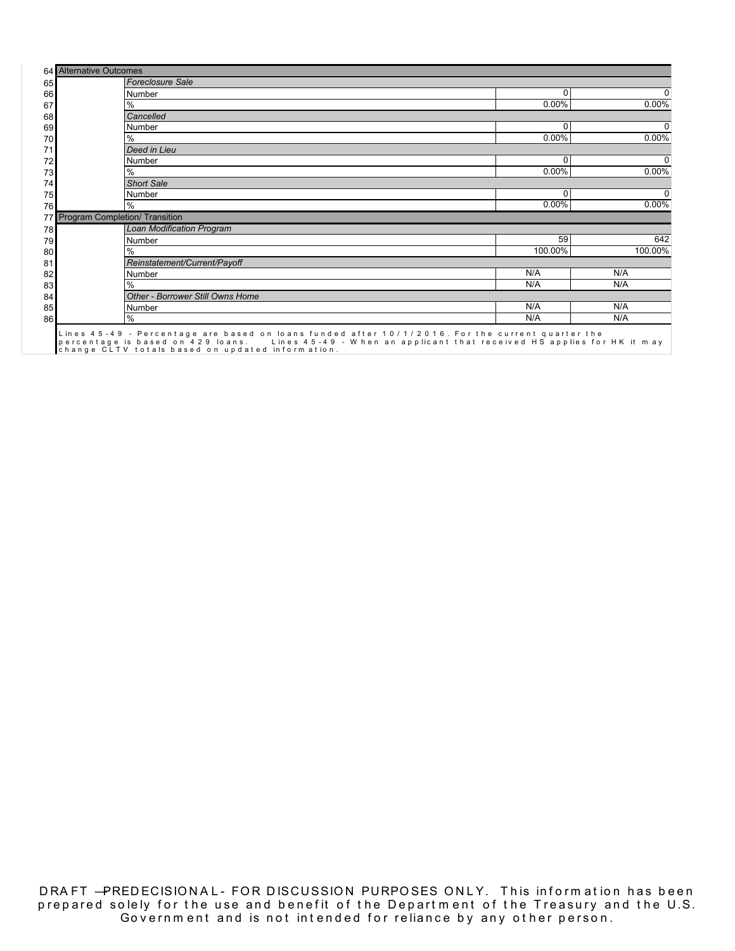|    | 64 Alternative Outcomes                                                                                                                                                                                                                                         |          |
|----|-----------------------------------------------------------------------------------------------------------------------------------------------------------------------------------------------------------------------------------------------------------------|----------|
| 65 | <b>Foreclosure Sale</b>                                                                                                                                                                                                                                         |          |
| 66 | 0<br>Number                                                                                                                                                                                                                                                     | O        |
| 67 | 0.00%<br>%                                                                                                                                                                                                                                                      | $0.00\%$ |
| 68 | Cancelled                                                                                                                                                                                                                                                       |          |
| 69 | 0<br>Number                                                                                                                                                                                                                                                     | $\Omega$ |
| 70 | $0.00\%$<br>$\%$                                                                                                                                                                                                                                                | $0.00\%$ |
| 71 | Deed in Lieu                                                                                                                                                                                                                                                    |          |
| 72 | 0<br>Number                                                                                                                                                                                                                                                     | 0        |
| 73 | 0.00%<br>%                                                                                                                                                                                                                                                      | $0.00\%$ |
| 74 | <b>Short Sale</b>                                                                                                                                                                                                                                               |          |
| 75 | 0<br><b>Number</b>                                                                                                                                                                                                                                              | $\Omega$ |
| 76 | $0.00\%$<br>%                                                                                                                                                                                                                                                   | $0.00\%$ |
| 77 | Program Completion/ Transition                                                                                                                                                                                                                                  |          |
| 78 | <b>Loan Modification Program</b>                                                                                                                                                                                                                                |          |
| 79 | 59<br>Number                                                                                                                                                                                                                                                    | 642      |
| 80 | 100.00%<br>$\frac{0}{0}$                                                                                                                                                                                                                                        | 100.00%  |
| 81 | Reinstatement/Current/Payoff                                                                                                                                                                                                                                    |          |
| 82 | N/A<br>Number                                                                                                                                                                                                                                                   | N/A      |
| 83 | N/A<br>%                                                                                                                                                                                                                                                        | N/A      |
| 84 | <b>Other - Borrower Still Owns Home</b>                                                                                                                                                                                                                         |          |
| 85 | N/A<br>Number                                                                                                                                                                                                                                                   | N/A      |
| 86 | N/A<br>$\frac{0}{0}$                                                                                                                                                                                                                                            | N/A      |
|    | Lines 45-49 - Percentage are based on loans funded after 10/1/2016. For the current quarter the<br>percentage is based on 429 loans. Lines 45-49 - When an applicant that received HS applies for HK it may<br>change CLTV totals based on updated information. |          |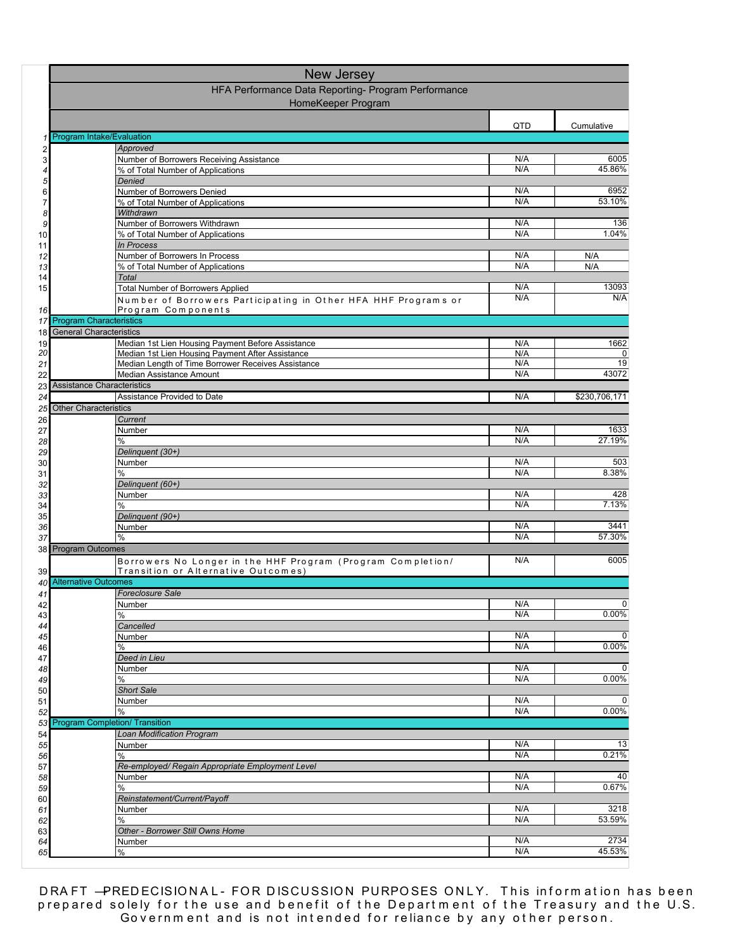|          | New Jersey                                                                                         |            |                |
|----------|----------------------------------------------------------------------------------------------------|------------|----------------|
|          | HFA Performance Data Reporting- Program Performance                                                |            |                |
|          | HomeKeeper Program                                                                                 |            |                |
|          |                                                                                                    | QTD        | Cumulative     |
| 1        | Program Intake/Evaluation                                                                          |            |                |
| 2<br>3   | Approved<br>Number of Borrowers Receiving Assistance                                               | N/A        | 6005           |
|          | % of Total Number of Applications                                                                  | N/A        | 45.86%         |
| 5        | Denied                                                                                             |            |                |
| 6<br>7   | Number of Borrowers Denied<br>% of Total Number of Applications                                    | N/A<br>N/A | 6952<br>53.10% |
| 8        | Withdrawn                                                                                          |            |                |
| 9        | Number of Borrowers Withdrawn                                                                      | N/A<br>N/A | 136<br>1.04%   |
| 10<br>11 | % of Total Number of Applications<br><b>In Process</b>                                             |            |                |
| 12       | Number of Borrowers In Process                                                                     | N/A        | N/A            |
| 13       | % of Total Number of Applications                                                                  | N/A        | N/A            |
| 14<br>15 | <b>Total</b><br><b>Total Number of Borrowers Applied</b>                                           | N/A        | 13093          |
|          | Number of Borrowers Participating in Other HFA HHF Programs or                                     | N/A        | N/A            |
| 16       | Program Components                                                                                 |            |                |
| 17       | <b>Program Characteristics</b><br><b>General Characteristics</b>                                   |            |                |
| 18<br>19 | Median 1st Lien Housing Payment Before Assistance                                                  | N/A        | 1662           |
| 20       | Median 1st Lien Housing Payment After Assistance                                                   | N/A        | 0              |
| 21       | Median Length of Time Borrower Receives Assistance<br>Median Assistance Amount                     | N/A<br>N/A | 19<br>43072    |
| 22<br>23 | <b>Assistance Characteristics</b>                                                                  |            |                |
| 24       | Assistance Provided to Date                                                                        | N/A        | \$230,706,171  |
| 25       | <b>Other Characteristics</b>                                                                       |            |                |
| 26<br>27 | Current<br>Number                                                                                  | N/A        | 1633           |
| 28       | %                                                                                                  | N/A        | 27.19%         |
| 29       | Delinquent (30+)                                                                                   |            |                |
| 30       | Number<br>%                                                                                        | N/A<br>N/A | 503<br>8.38%   |
| 31<br>32 | Delinquent (60+)                                                                                   |            |                |
| 33       | Number                                                                                             | N/A        | 428            |
| 34       | %                                                                                                  | N/A        | 7.13%          |
| 35<br>36 | Delinquent (90+)<br>Number                                                                         | N/A        | 3441           |
| 37       | $\frac{0}{0}$                                                                                      | N/A        | 57.30%         |
| 38       | <b>Program Outcomes</b>                                                                            |            |                |
| 39       | Borrowers No Longer in the HHF Program (Program Completion/<br>Transition or Alternative Outcomes) | N/A        | 6005           |
| 40       | <b>Alternative Outcomes</b>                                                                        |            |                |
| 41       | <b>Foreclosure Sale</b>                                                                            |            |                |
| 42       | Number<br>$\%$                                                                                     | N/A<br>N/A | $0.00\%$       |
| 43<br>44 | Cancelled                                                                                          |            |                |
| 45       | Number                                                                                             | N/A        | $\mathbf 0$    |
| 46       | %<br>Deed in Lieu                                                                                  | N/A        | 0.00%          |
| 47<br>48 | Number                                                                                             | N/A        | 0              |
| 49       | %                                                                                                  | N/A        | 0.00%          |
| 50       | <b>Short Sale</b>                                                                                  |            | 0              |
| 51<br>52 | Number<br>%                                                                                        | N/A<br>N/A | 0.00%          |
| 53       | <b>Program Completion/ Transition</b>                                                              |            |                |
| 54       | Loan Modification Program                                                                          |            |                |
| 55<br>56 | Number<br>%                                                                                        | N/A<br>N/A | 13<br>0.21%    |
| 57       | Re-employed/ Regain Appropriate Employment Level                                                   |            |                |
| 58       | Number                                                                                             | N/A        | 40             |
| 59       | %                                                                                                  | N/A        | 0.67%          |
| 60<br>61 | Reinstatement/Current/Payoff<br>Number                                                             | N/A        | 3218           |
| 62       | %                                                                                                  | N/A        | 53.59%         |
| 63       | Other - Borrower Still Owns Home                                                                   |            |                |
| 64<br>65 | Number<br>%                                                                                        | N/A<br>N/A | 2734<br>45.53% |
|          |                                                                                                    |            |                |

DRA FT —PREDECISIONAL- FOR DISCUSSION PURPOSES ONLY. This information has been prepared solely for the use and benefit of the Department of the Treasury and the U.S. Government and is not intended for reliance by any other person.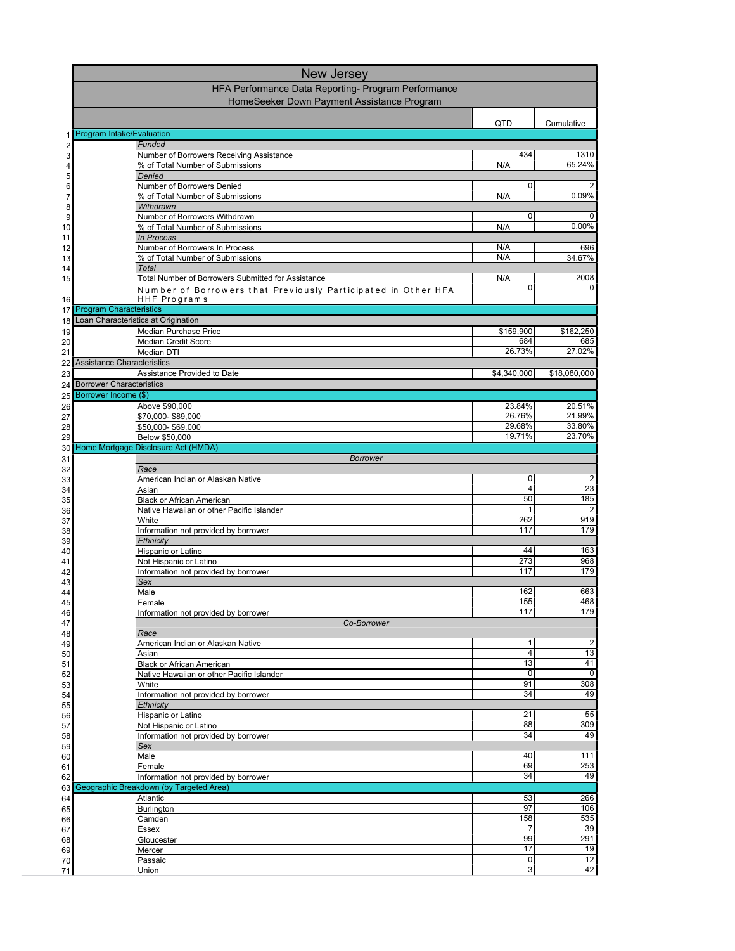|          | New Jersey                      |                                                                                 |                     |                      |
|----------|---------------------------------|---------------------------------------------------------------------------------|---------------------|----------------------|
|          |                                 | HFA Performance Data Reporting- Program Performance                             |                     |                      |
|          |                                 | HomeSeeker Down Payment Assistance Program                                      |                     |                      |
|          |                                 |                                                                                 | QTD                 | Cumulative           |
| 1        | Program Intake/Evaluation       |                                                                                 |                     |                      |
| 2        |                                 | Funded                                                                          |                     |                      |
| 3        |                                 | Number of Borrowers Receiving Assistance                                        | 434                 | 1310<br>65.24%       |
| 4<br>5   |                                 | % of Total Number of Submissions<br>Denied                                      | N/A                 |                      |
| 6        |                                 | Number of Borrowers Denied                                                      | 0                   | 2                    |
| 7        |                                 | % of Total Number of Submissions                                                | N/A                 | 0.09%                |
| 8<br>9   |                                 | Withdrawn<br>Number of Borrowers Withdrawn                                      | 0                   |                      |
| 10       |                                 | % of Total Number of Submissions                                                | N/A                 | 0.00%                |
| 11       |                                 | <b>In Process</b>                                                               |                     |                      |
| 12       |                                 | Number of Borrowers In Process                                                  | N/A                 | 696                  |
| 13<br>14 |                                 | % of Total Number of Submissions<br>Total                                       | N/A                 | 34.67%               |
| 15       |                                 | Total Number of Borrowers Submitted for Assistance                              | N/A                 | 2008                 |
|          |                                 | Number of Borrowers that Previously Participated in Other HFA                   | 0                   |                      |
| 16       |                                 | HHF Programs                                                                    |                     |                      |
| 17       | <b>Program Characteristics</b>  | Loan Characteristics at Origination                                             |                     |                      |
| 18<br>19 |                                 | Median Purchase Price                                                           | \$159,900           | \$162,250            |
| 20       |                                 | Median Credit Score                                                             | 684                 | 685                  |
| 21       |                                 | Median DTI                                                                      | 26.73%              | 27.02%               |
| 22       | Assistance Characteristics      |                                                                                 |                     |                      |
| 23<br>24 | <b>Borrower Characteristics</b> | Assistance Provided to Date                                                     | \$4,340,000         | \$18,080,000         |
| 25       | Borrower Income (\$)            |                                                                                 |                     |                      |
| 26       |                                 | Above \$90,000                                                                  | 23.84%              | 20.51%               |
| 27       |                                 | \$70,000-\$89,000                                                               | 26.76%              | 21.99%               |
| 28<br>29 |                                 | \$50,000-\$69,000<br>Below \$50,000                                             | 29.68%<br>19.71%    | 33.80%<br>23.70%     |
| 30       |                                 | Home Mortgage Disclosure Act (HMDA)                                             |                     |                      |
| 31       |                                 | <b>Borrower</b>                                                                 |                     |                      |
| 32       |                                 | Race                                                                            |                     |                      |
| 33       |                                 | American Indian or Alaskan Native                                               | 0<br>$\overline{4}$ | $\overline{2}$<br>23 |
| 34<br>35 |                                 | Asian<br><b>Black or African American</b>                                       | 50                  | 185                  |
| 36       |                                 | Native Hawaiian or other Pacific Islander                                       | 1                   | $\overline{2}$       |
| 37       |                                 | White                                                                           | 262                 | 919                  |
| 38       |                                 | Information not provided by borrower<br>Ethnicity                               | 117                 | 179                  |
| 39<br>40 |                                 | Hispanic or Latino                                                              | 44                  | 163                  |
| 41       |                                 | Not Hispanic or Latino                                                          | 273                 | 968                  |
| 42       |                                 | Information not provided by borrower                                            | 117                 | 179                  |
| 43<br>44 |                                 | Sex<br>Male                                                                     | 162                 | 663                  |
| 45       |                                 | Female                                                                          | 155                 | 468                  |
| 46       |                                 | Information not provided by borrower                                            | 117                 | 179                  |
| 47       |                                 | Co-Borrower                                                                     |                     |                      |
| 48<br>49 |                                 | Race<br>American Indian or Alaskan Native                                       | 1                   | $\overline{c}$       |
| 50       |                                 | Asian                                                                           | 4                   | 13                   |
| 51       |                                 | Black or African American                                                       | 13                  | 41                   |
| 52       |                                 | Native Hawaiian or other Pacific Islander<br>White                              | 0<br>91             | 0<br>308             |
| 53<br>54 |                                 | Information not provided by borrower                                            | 34                  | 49                   |
| 55       |                                 | Ethnicity                                                                       |                     |                      |
| 56       |                                 | Hispanic or Latino                                                              | 21                  | 55                   |
| 57<br>58 |                                 | Not Hispanic or Latino<br>Information not provided by borrower                  | 88<br>34            | 309<br>49            |
| 59       |                                 | Sex                                                                             |                     |                      |
| 60       |                                 | Male                                                                            | 40                  | 111                  |
| 61       |                                 | Female                                                                          | 69                  | 253                  |
| 62<br>63 |                                 | Information not provided by borrower<br>Geographic Breakdown (by Targeted Area) | 34                  | 49                   |
| 64       |                                 | Atlantic                                                                        | 53                  | 266                  |
| 65       |                                 | Burlington                                                                      | 97                  | 106                  |
| 66       |                                 | Camden                                                                          | 158                 | 535                  |
| 67       |                                 | Essex<br>Gloucester                                                             | 7<br>99             | 39<br>291            |
| 68<br>69 |                                 | Mercer                                                                          | 17                  | 19                   |
| 70       |                                 | Passaic                                                                         | 0                   | 12                   |
| 71       |                                 | Union                                                                           | 3                   | 42                   |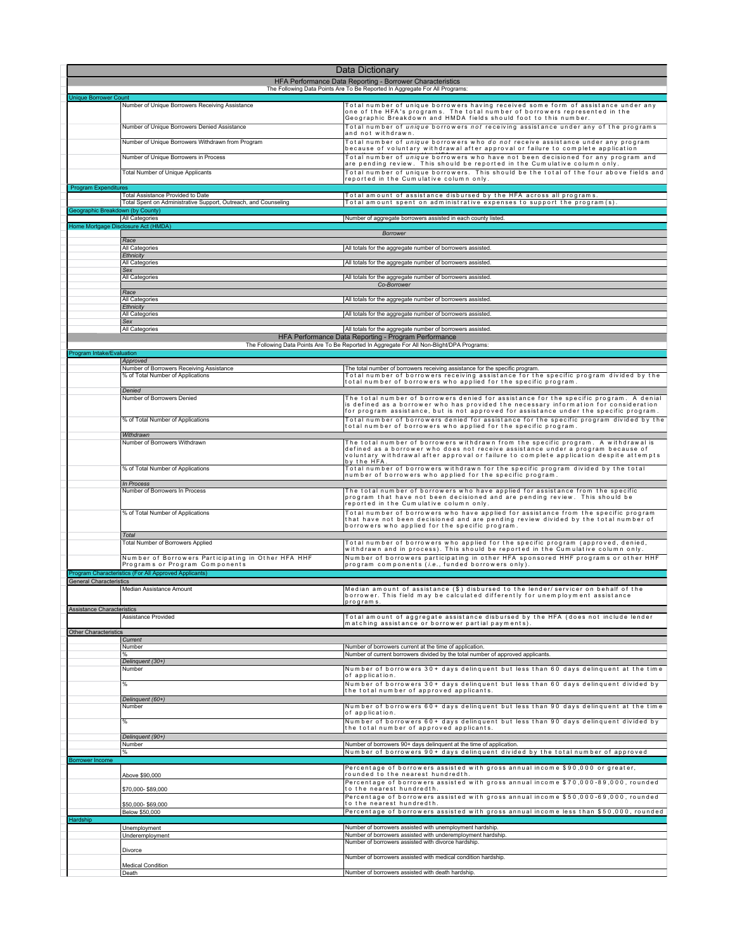|                                   | <b>Data Dictionary</b>                                                                                      |                                                                                                                                                                                                                                                                                                                                                                      |
|-----------------------------------|-------------------------------------------------------------------------------------------------------------|----------------------------------------------------------------------------------------------------------------------------------------------------------------------------------------------------------------------------------------------------------------------------------------------------------------------------------------------------------------------|
|                                   |                                                                                                             | HFA Performance Data Reporting - Borrower Characteristics                                                                                                                                                                                                                                                                                                            |
| <b>Unique Borrower Count</b>      |                                                                                                             | The Following Data Points Are To Be Reported In Aggregate For All Programs:                                                                                                                                                                                                                                                                                          |
|                                   | Number of Unique Borrowers Receiving Assistance<br>Number of Unique Borrowers Denied Assistance             | Total number of unique borrowers having received some form of assistance under any<br>one of the HFA's programs. The total number of borrowers represented in the<br>Geographic Breakdown and HMDA fields should foot to this number.<br>Total number of <i>unique</i> borrowers not receiving assistance under any of the programs                                  |
|                                   | Number of Unique Borrowers Withdrawn from Program                                                           | and not withdrawn.<br>Total number of <i>unique</i> borrowers who do not receive assistance under any program                                                                                                                                                                                                                                                        |
|                                   | Number of Unique Borrowers in Process                                                                       | because of voluntary withdrawal after approval or failure to complete application<br>Total number of <i>unique</i> borrowers who have not been decisioned for any program and<br>are pending review. This should be reported in the Cumulative column only.                                                                                                          |
|                                   | Total Number of Unique Applicants                                                                           | Total number of unique borrowers. This should be the total of the four above fields and<br>reported in the Cumulative column only.                                                                                                                                                                                                                                   |
| <b>Program Expenditures</b>       |                                                                                                             |                                                                                                                                                                                                                                                                                                                                                                      |
|                                   | <b>Total Assistance Provided to Date</b><br>Total Spent on Administrative Support, Outreach, and Counseling | Total amount of assistance disbursed by the HFA across all programs<br>Total amount spent on administrative expenses to support the program(s).                                                                                                                                                                                                                      |
| sographic Bres                    | down (by County<br>All Categories                                                                           | Number of aggregate borrowers assisted in each county listed.                                                                                                                                                                                                                                                                                                        |
|                                   | Home Mortgage Disclosure Act (HMDA)                                                                         | <b>Borrower</b>                                                                                                                                                                                                                                                                                                                                                      |
|                                   | Race                                                                                                        |                                                                                                                                                                                                                                                                                                                                                                      |
|                                   | All Categories<br>Ethnicity                                                                                 | All totals for the aggregate number of borrowers assisted.                                                                                                                                                                                                                                                                                                           |
|                                   | All Categories<br>Sex                                                                                       | All totals for the aggregate number of borrowers assisted.                                                                                                                                                                                                                                                                                                           |
|                                   | All Categories                                                                                              | All totals for the aggregate number of borrowers assisted.<br>Co-Borrower                                                                                                                                                                                                                                                                                            |
|                                   | Race<br>All Categories                                                                                      |                                                                                                                                                                                                                                                                                                                                                                      |
|                                   | Ethnicity                                                                                                   | All totals for the aggregate number of borrowers assisted.                                                                                                                                                                                                                                                                                                           |
|                                   | All Categories<br>Sex                                                                                       | All totals for the aggregate number of borrowers assisted.                                                                                                                                                                                                                                                                                                           |
|                                   | All Categories                                                                                              | All totals for the aggregate number of borrowers assisted.<br>HFA Performance Data Reporting - Program Performance                                                                                                                                                                                                                                                   |
| Program Intake/Evaluation         |                                                                                                             | The Following Data Points Are To Be Reported In Aggregate For All Non-Blight/DPA Programs:                                                                                                                                                                                                                                                                           |
|                                   | Approved                                                                                                    |                                                                                                                                                                                                                                                                                                                                                                      |
|                                   | Number of Borrowers Receiving Assistance<br>% of Total Number of Applications<br>Denied                     | The total number of borrowers receiving assistance for the specific program.<br>Total number of borrowers receiving assistance for the specific program divided by the<br>total number of borrowers who applied for the specific program.                                                                                                                            |
|                                   | Number of Borrowers Denied<br>% of Total Number of Applications                                             | The total number of borrowers denied for assistance for the specific program. A denial<br>is defined as a borrower who has provided the necessary information for consideration<br>for program assistance, but is not approved for assistance under the specific program.<br>Total number of borrowers denied for assistance for the specific program divided by the |
|                                   | Withdrawn                                                                                                   | total number of borrowers who applied for the specific program.                                                                                                                                                                                                                                                                                                      |
|                                   | Number of Borrowers Withdrawn                                                                               | The total number of borrowers withdrawn from the specific program. A withdrawal is<br>defined as a borrower who does not receive assistance under a program because of<br>voluntary withdrawal after approval or failure to complete application despite attempts<br>by the HFA                                                                                      |
|                                   | % of Total Number of Applications                                                                           | Total number of borrowers withdrawn for the specific program divided by the total<br>number of borrowers who applied for the specific program.                                                                                                                                                                                                                       |
|                                   | In Process<br>Number of Borrowers In Process                                                                | The total number of borrowers who have applied for assistance from the specific<br>program that have not been decisioned and are pending review. This should be<br>reported in the Cumulative column only                                                                                                                                                            |
|                                   | % of Total Number of Applications                                                                           | Total number of borrowers who have applied for assistance from the specific program<br>that have not been decisioned and are pending review divided by the total number of<br>borrowers who applied for the specific program.                                                                                                                                        |
|                                   | Total<br>Total Number of Borrowers Applied                                                                  | Total number of borrowers who applied for the specific program (approved, denied,                                                                                                                                                                                                                                                                                    |
|                                   | Number of Borrowers Participating in Other HFA HHF<br>Programs or Program Components                        | withdrawn and in process). This should be reported in the Cumulative column only.<br>Number of borrowers participating in other HFA sponsored HHF programs or other HHF<br>program components (i.e., funded borrowers only).                                                                                                                                         |
|                                   | Program Characteristics (For All Approved Applicants)                                                       |                                                                                                                                                                                                                                                                                                                                                                      |
| <b>General Characteristics</b>    | Median Assistance Amount                                                                                    | Median amount of assistance (\$) disbursed to the lender/servicer on behalf of the<br>borrower. This field may be calculated differently for unemployment assistance                                                                                                                                                                                                 |
| <b>Assistance Characteristics</b> |                                                                                                             | program s                                                                                                                                                                                                                                                                                                                                                            |
| <b>Other Characteristics</b>      | Assistance Provided                                                                                         | Total amount of aggregate assistance disbursed by the HFA (does not include lender<br>matching assistance or borrower partial payments).                                                                                                                                                                                                                             |
|                                   | Current<br>Number                                                                                           | Number of borrowers current at the time of application.                                                                                                                                                                                                                                                                                                              |
|                                   | $\frac{0}{c}$<br>Delinquent (30+)                                                                           | Number of current borrowers divided by the total number of approved applicants.                                                                                                                                                                                                                                                                                      |
|                                   | Number                                                                                                      | Number of borrowers 30+ days delinquent but less than 60 days delinquent at the time<br>of application.                                                                                                                                                                                                                                                              |
|                                   | %                                                                                                           | Number of borrowers 30+ days delinquent but less than 60 days delinquent divided by<br>the total number of approved applicants.                                                                                                                                                                                                                                      |
|                                   | Delinquent (60+)<br>Number                                                                                  | Number of borrowers 60+ days delinquent but less than 90 days delinquent at the time                                                                                                                                                                                                                                                                                 |
|                                   |                                                                                                             | of application.                                                                                                                                                                                                                                                                                                                                                      |
|                                   | %                                                                                                           | Number of borrowers 60+ days delinquent but less than 90 days delinquent divided by<br>the total number of approved applicants.                                                                                                                                                                                                                                      |
|                                   | Delinquent (90+)<br>Number                                                                                  | Number of borrowers 90+ days delinquent at the time of application.                                                                                                                                                                                                                                                                                                  |
| <b>Borrower Income</b>            |                                                                                                             | Number of borrowers 90+ days delinquent divided by the total number of approved                                                                                                                                                                                                                                                                                      |
|                                   | Above \$90,000                                                                                              | Percentage of borrowers assisted with gross annual income \$90,000 or greater,<br>rounded to the nearest hundredth.                                                                                                                                                                                                                                                  |
|                                   | \$70,000-\$89,000                                                                                           | Percentage of borrowers assisted with gross annual income \$70,000-89,000, rounded<br>to the nearest hundredth.                                                                                                                                                                                                                                                      |
|                                   | \$50,000-\$69,000                                                                                           | Percentage of borrowers assisted with gross annual income \$50,000-69,000, rounded<br>to the nearest hundredth.                                                                                                                                                                                                                                                      |
| Hardship                          | Below \$50,000                                                                                              | Percentage of borrowers assisted with gross annual income less than \$50,000, rounded                                                                                                                                                                                                                                                                                |
|                                   | Unemployment<br>Underemployment                                                                             | Number of borrowers assisted with unemployment hardship.<br>Number of borrowers assisted with underemployment hardship.                                                                                                                                                                                                                                              |
|                                   | Divorce                                                                                                     | Number of borrowers assisted with divorce hardship.                                                                                                                                                                                                                                                                                                                  |
|                                   |                                                                                                             | Number of borrowers assisted with medical condition hardship.                                                                                                                                                                                                                                                                                                        |
|                                   | <b>Medical Condition</b><br>Death                                                                           | Number of borrowers assisted with death hardship.                                                                                                                                                                                                                                                                                                                    |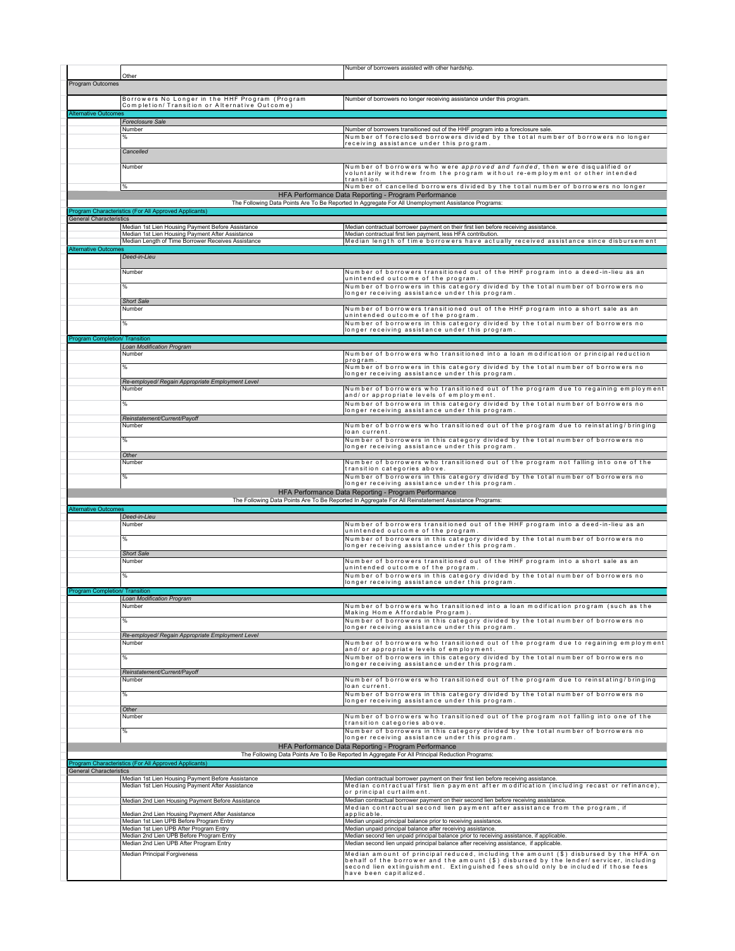|                                       | Other                                                                                                  | Number of borrowers assisted with other hardship.                                                                                                                                   |
|---------------------------------------|--------------------------------------------------------------------------------------------------------|-------------------------------------------------------------------------------------------------------------------------------------------------------------------------------------|
| Program Outcomes                      |                                                                                                        |                                                                                                                                                                                     |
|                                       | Borrowers No Longer in the HHF Program (Program                                                        | Number of borrowers no longer receiving assistance under this program.                                                                                                              |
|                                       | Completion/ Transition or Alternative Outcome)                                                         |                                                                                                                                                                                     |
| <b>Alternative Outcomes</b>           | Foreclosure Sale                                                                                       |                                                                                                                                                                                     |
|                                       | Number                                                                                                 | Number of borrowers transitioned out of the HHF program into a foreclosure sale.                                                                                                    |
|                                       | %                                                                                                      | Number of foreclosed borrowers divided by the total number of borrowers no longer<br>receiving assistance under this program.                                                       |
|                                       | Cancelled                                                                                              |                                                                                                                                                                                     |
|                                       | Number                                                                                                 | Number of borrowers who were approved and funded, then were disqualified or                                                                                                         |
|                                       |                                                                                                        | voluntarily withdrew from the program without re-employment or other intended<br>transition.                                                                                        |
|                                       | %                                                                                                      | Number of cancelled borrowers divided by the total number of borrowers no longer                                                                                                    |
|                                       |                                                                                                        | HFA Performance Data Reporting - Program Performance<br>The Following Data Points Are To Be Reported In Aggregate For All Unemployment Assistance Programs:                         |
|                                       | Program Characteristics (For All Approved Applicants)                                                  |                                                                                                                                                                                     |
| <b>General Characteristics</b>        | Median 1st Lien Housing Payment Before Assistance                                                      | Median contractual borrower payment on their first lien before receiving assistance.                                                                                                |
|                                       | Median 1st Lien Housing Payment After Assistance<br>Median Length of Time Borrower Receives Assistance | Median contractual first lien payment, less HFA contribution.<br>Median length of time borrowers have actually received assistance since disbursement                               |
| <b>Alternative Outcome</b>            |                                                                                                        |                                                                                                                                                                                     |
|                                       | Deed-in-Lieu                                                                                           |                                                                                                                                                                                     |
|                                       | Number                                                                                                 | Number of borrowers transitioned out of the HHF program into a deed-in-lieu as an<br>unintended outcome of the program.                                                             |
|                                       | %                                                                                                      | Number of borrowers in this category divided by the total number of borrowers no                                                                                                    |
|                                       | <b>Short Sale</b>                                                                                      | longer receiving assistance under this program.                                                                                                                                     |
|                                       | Number                                                                                                 | Number of borrowers transitioned out of the HHF program into a short sale as an                                                                                                     |
|                                       | %                                                                                                      | unintended outcome of the program.<br>Number of borrowers in this category divided by the total number of borrowers no                                                              |
| <b>Program Completion/ Transition</b> |                                                                                                        | longer receiving assistance under this program.                                                                                                                                     |
|                                       | Loan Modification Program                                                                              |                                                                                                                                                                                     |
|                                       | Number                                                                                                 | Number of borrowers who transitioned into a loan modification or principal reduction<br>program                                                                                     |
|                                       | %                                                                                                      | Number of borrowers in this category divided by the total number of borrowers no<br>longer receiving assistance under this program.                                                 |
|                                       | Re-employed/ Regain Appropriate Employment Level                                                       |                                                                                                                                                                                     |
|                                       | Number                                                                                                 | Number of borrowers who transitioned out of the program due to regaining employment<br>and/or appropriate levels of employment.                                                     |
|                                       | %                                                                                                      | Number of borrowers in this category divided by the total number of borrowers no<br>longer receiving assistance under this program.                                                 |
|                                       | Reinstatement/Current/Payoff                                                                           |                                                                                                                                                                                     |
|                                       | Number                                                                                                 | Number of borrowers who transitioned out of the program due to reinstating/bringing<br>loan current.                                                                                |
|                                       | %                                                                                                      | Number of borrowers in this category divided by the total number of borrowers no<br>longer receiving assistance under this program                                                  |
|                                       | Other                                                                                                  |                                                                                                                                                                                     |
|                                       | Number                                                                                                 | Number of borrowers who transitioned out of the program not falling into one of the<br>transition categories above.                                                                 |
|                                       | %                                                                                                      | Number of borrowers in this category divided by the total number of borrowers no<br>longer receiving assistance under this program.                                                 |
|                                       |                                                                                                        | HFA Performance Data Reporting - Program Performance                                                                                                                                |
| <b>Alternative Outcomes</b>           |                                                                                                        | The Following Data Points Are To Be Reported In Aggregate For All Reinstatement Assistance Programs:                                                                                |
|                                       | Deed-in-Lieu                                                                                           |                                                                                                                                                                                     |
|                                       | Number                                                                                                 | Number of borrowers transitioned out of the HHF program into a deed-in-lieu as an<br>unintended outcome of the program.                                                             |
|                                       | %                                                                                                      | Number of borrowers in this category divided by the total number of borrowers no<br>longer receiving assistance under this program.                                                 |
|                                       | <b>Short Sale</b>                                                                                      |                                                                                                                                                                                     |
|                                       | Number                                                                                                 | Number of borrowers transitioned out of the HHF program into a short sale as an<br>unintended outcome of the program.                                                               |
|                                       | ℅                                                                                                      | Number of borrowers in this category divided by the total number of borrowers no<br>longer receiving assistance under this program.                                                 |
| <b>Program Completion/ Transition</b> |                                                                                                        |                                                                                                                                                                                     |
|                                       | Loan Modification Program<br>Number                                                                    | Number of borrowers who transitioned into a loan modification program (such as the                                                                                                  |
|                                       |                                                                                                        | Making Home Affordable Program).                                                                                                                                                    |
|                                       | $\frac{0}{6}$                                                                                          | Number of borrowers in this category divided by the total number of borrowers no<br>longer receiving assistance under this program.                                                 |
|                                       | Re-employed/ Regain Appropriate Employment Level<br>Number                                             |                                                                                                                                                                                     |
|                                       |                                                                                                        | Number of borrowers who transitioned out of the program due to regaining employment<br>and/or appropriate levels of employment.                                                     |
|                                       | $\%$                                                                                                   | Number of borrowers in this category divided by the total number of borrowers no<br>longer receiving assistance under this program.                                                 |
|                                       | Reinstatement/Current/Payoff                                                                           |                                                                                                                                                                                     |
|                                       | Number                                                                                                 | Number of borrowers who transitioned out of the program due to reinstating/bringing<br>loan current.                                                                                |
|                                       | %                                                                                                      | Number of borrowers in this category divided by the total number of borrowers no<br>longer receiving assistance under this program.                                                 |
|                                       | Other                                                                                                  |                                                                                                                                                                                     |
|                                       | Number                                                                                                 | Number of borrowers who transitioned out of the program not falling into one of the<br>transition categories above.                                                                 |
|                                       | %                                                                                                      | Number of borrowers in this category divided by the total number of borrowers no                                                                                                    |
|                                       |                                                                                                        | longer receiving assistance under this program.<br>HFA Performance Data Reporting - Program Performance                                                                             |
|                                       |                                                                                                        | The Following Data Points Are To Be Reported In Aggregate For All Principal Reduction Programs:                                                                                     |
| <b>General Characteristics</b>        | Program Characteristics (For All Approved Applicants)                                                  |                                                                                                                                                                                     |
|                                       | Median 1st Lien Housing Payment Before Assistance<br>Median 1st Lien Housing Payment After Assistance  | Median contractual borrower payment on their first lien before receiving assistance.<br>Median contractual first lien payment after modification (including recast or refinance),   |
|                                       |                                                                                                        | or principal curtailment.                                                                                                                                                           |
|                                       | Median 2nd Lien Housing Payment Before Assistance                                                      | Median contractual borrower payment on their second lien before receiving assistance.<br>Median contractual second lien payment after assistance from the program, if               |
|                                       | Median 2nd Lien Housing Payment After Assistance<br>Median 1st Lien UPB Before Program Entry           | applicable.<br>Median unpaid principal balance prior to receiving assistance.                                                                                                       |
|                                       | Median 1st Lien UPB After Program Entry                                                                | Median unpaid principal balance after receiving assistance.                                                                                                                         |
|                                       | Median 2nd Lien UPB Before Program Entry<br>Median 2nd Lien UPB After Program Entry                    | Median second lien unpaid principal balance prior to receiving assistance, if applicable.<br>Median second lien unpaid principal balance after receiving assistance, if applicable. |
|                                       | Median Principal Forgiveness                                                                           | Median amount of principal reduced, including the amount (\$) disbursed by the HFA on<br>behalf of the borrower and the amount (\$) disbursed by the lender/ servicer, including    |
|                                       |                                                                                                        | second lien extinguishment. Extinguished fees should only be included if those fees<br>have been capitalized.                                                                       |
|                                       |                                                                                                        |                                                                                                                                                                                     |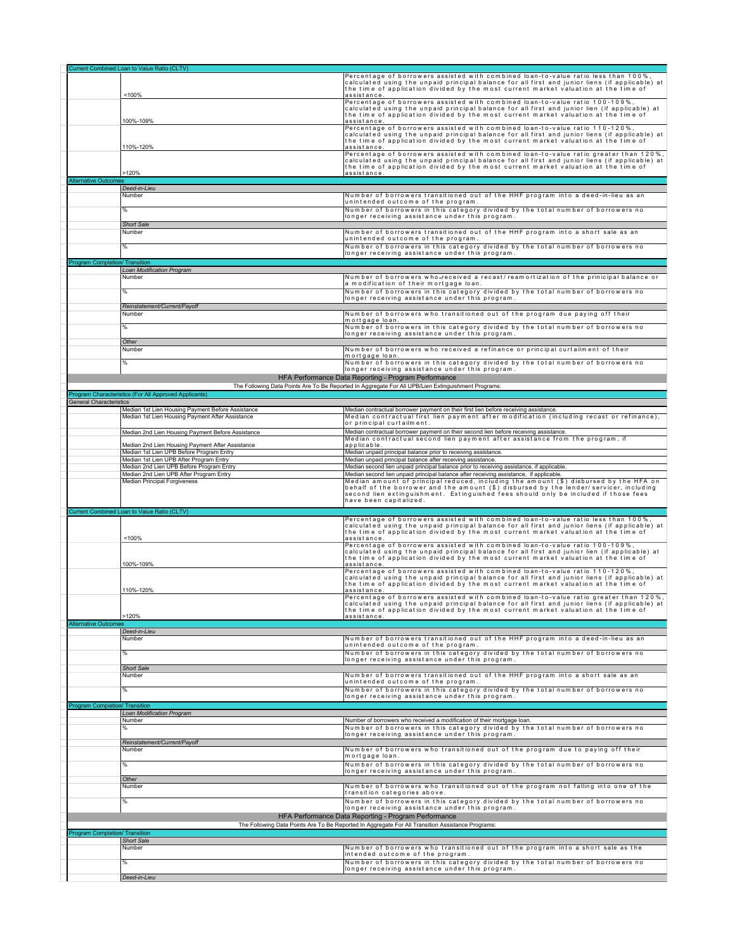|                                       | Current Combined Loan to Value Ratio (CLTV)                                                           |                                                                                                                                                                                         |
|---------------------------------------|-------------------------------------------------------------------------------------------------------|-----------------------------------------------------------------------------------------------------------------------------------------------------------------------------------------|
|                                       |                                                                                                       | Percentage of borrowers assisted with combined loan-to-value ratio less than 100%                                                                                                       |
|                                       |                                                                                                       | calculated using the unpaid principal balance for all first and junior liens (if applicable) at<br>the time of application divided by the most current market valuation at the time of  |
|                                       | <100%                                                                                                 | assistance.                                                                                                                                                                             |
|                                       |                                                                                                       | Percentage of borrowers assisted with combined loan-to-value ratio 100-109%,                                                                                                            |
|                                       |                                                                                                       | calculated using the unpaid principal balance for all first and junior lien (if applicable) at                                                                                          |
|                                       | 100%-109%                                                                                             | the time of application divided by the most current market valuation at the time of<br>assistance.                                                                                      |
|                                       |                                                                                                       | Percentage of borrowers assisted with combined loan-to-value ratio 110-120%,                                                                                                            |
|                                       |                                                                                                       | calculated using the unpaid principal balance for all first and junior liens (if applicable) at                                                                                         |
|                                       | 110%-120%                                                                                             | the time of application divided by the most current market valuation at the time of<br>assistance.                                                                                      |
|                                       |                                                                                                       | Percentage of borrowers assisted with combined loan-to-value ratio greater than 120%,                                                                                                   |
|                                       |                                                                                                       | calculated using the unpaid principal balance for all first and junior liens (if applicable) at                                                                                         |
|                                       | >120%                                                                                                 | the time of application divided by the most current market valuation at the time of<br>assistance.                                                                                      |
| Alternative Outcomes                  |                                                                                                       |                                                                                                                                                                                         |
|                                       | Deed-in-Lieu                                                                                          |                                                                                                                                                                                         |
|                                       | Number                                                                                                | Number of borrowers transitioned out of the HHF program into a deed-in-lieu as an                                                                                                       |
|                                       |                                                                                                       | unintended outcome of the program.                                                                                                                                                      |
|                                       | %                                                                                                     | Number of borrowers in this category divided by the total number of borrowers no<br>longer receiving assistance under this program.                                                     |
|                                       | <b>Short Sale</b>                                                                                     |                                                                                                                                                                                         |
|                                       | Number                                                                                                | Number of borrowers transitioned out of the HHF program into a short sale as an                                                                                                         |
|                                       |                                                                                                       | unintended outcome of the program.                                                                                                                                                      |
|                                       | %                                                                                                     | Number of borrowers in this category divided by the total number of borrowers no                                                                                                        |
|                                       |                                                                                                       | longer receiving assistance under this program.                                                                                                                                         |
| <b>Program Completion/ Transition</b> | Loan Modification Program                                                                             |                                                                                                                                                                                         |
|                                       | Number                                                                                                | Number of borrowers who-received a recast/reamortization of the prinicipal balance or                                                                                                   |
|                                       |                                                                                                       | a modification of their mortgage loan.                                                                                                                                                  |
|                                       | %                                                                                                     | Number of borrowers in this category divided by the total number of borrowers no                                                                                                        |
|                                       |                                                                                                       | longer receiving assistance under this program.                                                                                                                                         |
|                                       | Reinstatement/Current/Payoff                                                                          | Number of borrowers who transitioned out of the program due paying off their                                                                                                            |
|                                       | Number                                                                                                | mortgage loan.                                                                                                                                                                          |
|                                       | %                                                                                                     | Number of borrowers in this category divided by the total number of borrowers no                                                                                                        |
|                                       |                                                                                                       | longer receiving assistance under this program.                                                                                                                                         |
|                                       | Other                                                                                                 |                                                                                                                                                                                         |
|                                       | Number                                                                                                | Number of borrowers who received a refinance or principal curtailment of their<br>mortgage loan.                                                                                        |
|                                       | %                                                                                                     | Number of borrowers in this category divided by the total number of borrowers no                                                                                                        |
|                                       |                                                                                                       | longer receiving assistance under this program.                                                                                                                                         |
|                                       |                                                                                                       | HFA Performance Data Reporting - Program Performance                                                                                                                                    |
|                                       |                                                                                                       | The Following Data Points Are To Be Reported In Aggregate For All UPB/Lien Extinguishment Programs:                                                                                     |
|                                       | Program Characteristics (For All Approved Applicants)                                                 |                                                                                                                                                                                         |
| <b>General Characteristics</b>        |                                                                                                       |                                                                                                                                                                                         |
|                                       | Median 1st Lien Housing Payment Before Assistance<br>Median 1st Lien Housing Payment After Assistance | Median contractual borrower payment on their first lien before receiving assistance.<br>Median contractual first lien payment after modification (including recast or refinance),       |
|                                       |                                                                                                       | or principal curtailment.                                                                                                                                                               |
|                                       | Median 2nd Lien Housing Payment Before Assistance                                                     | Median contractual borrower payment on their second lien before receiving assistance.                                                                                                   |
|                                       | Median 2nd Lien Housing Payment After Assistance                                                      | Median contractual second lien payment after assistance from the program, if<br>applicable                                                                                              |
|                                       | Median 1st Lien UPB Before Program Entry                                                              | Median unpaid principal balance prior to receiving assistance.                                                                                                                          |
|                                       | Median 1st Lien UPB After Program Entry                                                               | Median unpaid principal balance after receiving assistance.                                                                                                                             |
|                                       |                                                                                                       |                                                                                                                                                                                         |
|                                       | Median 2nd Lien UPB Before Program Entry                                                              | Median second lien unpaid principal balance prior to receiving assistance, if applicable.                                                                                               |
|                                       | Median 2nd Lien UPB After Program Entry                                                               | Median second lien unpaid principal balance after receiving assistance, if applicable.                                                                                                  |
|                                       | <b>Median Principal Forgiveness</b>                                                                   | Median amount of principal reduced, including the amount (\$) disbursed by the HFA on<br>behalf of the borrower and the amount (\$) disbursed by the lender/servicer, including         |
|                                       |                                                                                                       | second lien extinguishment. Extinguished fees should only be included if those fees                                                                                                     |
|                                       |                                                                                                       | have been capitalized.                                                                                                                                                                  |
|                                       | Current Combined Loan to Value Ratio (CLTV)                                                           |                                                                                                                                                                                         |
|                                       |                                                                                                       | Percentage of borrowers assisted with combined loan-to-value ratio less than 100%                                                                                                       |
|                                       |                                                                                                       | calculated using the unpaid principal balance for all first and junior liens (if applicable) at<br>the time of application divided by the most current market valuation at the time of  |
|                                       | <100%                                                                                                 | assistance.                                                                                                                                                                             |
|                                       |                                                                                                       | Percentage of borrowers assisted with combined loan-to-value ratio 100-109%,                                                                                                            |
|                                       |                                                                                                       | calculated using the unpaid principal balance for all first and junior lien (if applicable) at<br>the time of application divided by the most current market valuation at the time of   |
|                                       | 100%-109%                                                                                             | assistance.                                                                                                                                                                             |
|                                       |                                                                                                       | Percentage of borrowers assisted with combined loan-to-value ratio 110-120%,<br>calculated using the unpaid principal balance for all first and junior liens (if applicable) at         |
|                                       |                                                                                                       | the time of application divided by the most current market valuation at the time of                                                                                                     |
|                                       | 110%-120%                                                                                             | lassist ance.                                                                                                                                                                           |
|                                       |                                                                                                       | Percentage of borrowers assisted with combined loan-to-value ratio greater than 120%,<br>aiculated using the unpaid principal balance for all first and junior liens (if applicable) at |
|                                       |                                                                                                       | the time of application divided by the most current market valuation at the time of                                                                                                     |
| <b>Alternative Outcomes</b>           | >120%                                                                                                 | lassist ance.                                                                                                                                                                           |
|                                       | Deed-in-Lieu                                                                                          |                                                                                                                                                                                         |
|                                       | Number                                                                                                | Number of borrowers transitioned out of the HHF program into a deed-in-lieu as an                                                                                                       |
|                                       |                                                                                                       | unintended outcome of the program.                                                                                                                                                      |
|                                       | %                                                                                                     | Number of borrowers in this category divided by the total number of borrowers no<br>longer receiving assistance under this program.                                                     |
|                                       | <b>Short Sale</b>                                                                                     |                                                                                                                                                                                         |
|                                       | Number                                                                                                | Number of borrowers transitioned out of the HHF program into a short sale as an                                                                                                         |
|                                       |                                                                                                       | unintended outcome of the program.                                                                                                                                                      |
|                                       | %                                                                                                     | Number of borrowers in this category divided by the total number of borrowers no                                                                                                        |
| Program Completion/ Transition        |                                                                                                       | longer receiving assistance under this program.                                                                                                                                         |
|                                       | Loan Modification Program                                                                             |                                                                                                                                                                                         |
|                                       | Number                                                                                                | Number of borrowers who received a modification of their mortgage loan.                                                                                                                 |
|                                       | %                                                                                                     | Number of borrowers in this category divided by the total number of borrowers no                                                                                                        |
|                                       | Reinstatement/Current/Pavoff                                                                          | longer receiving assistance under this program.                                                                                                                                         |
|                                       | Number                                                                                                | Number of borrowers who transitioned out of the program due to paying off their                                                                                                         |
|                                       |                                                                                                       | mortgage loan.                                                                                                                                                                          |
|                                       | %                                                                                                     | Number of borrowers in this category divided by the total number of borrowers no                                                                                                        |
|                                       |                                                                                                       | longer receiving assistance under this program.                                                                                                                                         |
|                                       | Other<br>Number                                                                                       | Number of borrowers who transitioned out of the program not falling into one of the                                                                                                     |
|                                       |                                                                                                       | transition categories above.                                                                                                                                                            |
|                                       | %                                                                                                     | Number of borrowers in this category divided by the total number of borrowers no                                                                                                        |
|                                       |                                                                                                       | longer receiving assistance under this program.                                                                                                                                         |
|                                       |                                                                                                       | HFA Performance Data Reporting - Program Performance                                                                                                                                    |
|                                       |                                                                                                       | The Following Data Points Are To Be Reported In Aggregate For All Transition Assistance Programs:                                                                                       |
| Program Completion/ Transition        | <b>Short Sale</b>                                                                                     |                                                                                                                                                                                         |
|                                       | Number                                                                                                | Number of borrowers who transitioned out of the program into a short sale as the                                                                                                        |
|                                       |                                                                                                       | intended outcome of the program.                                                                                                                                                        |
|                                       | %                                                                                                     | Number of borrowers in this category divided by the total number of borrowers no<br>longer receiving assistance under this program.                                                     |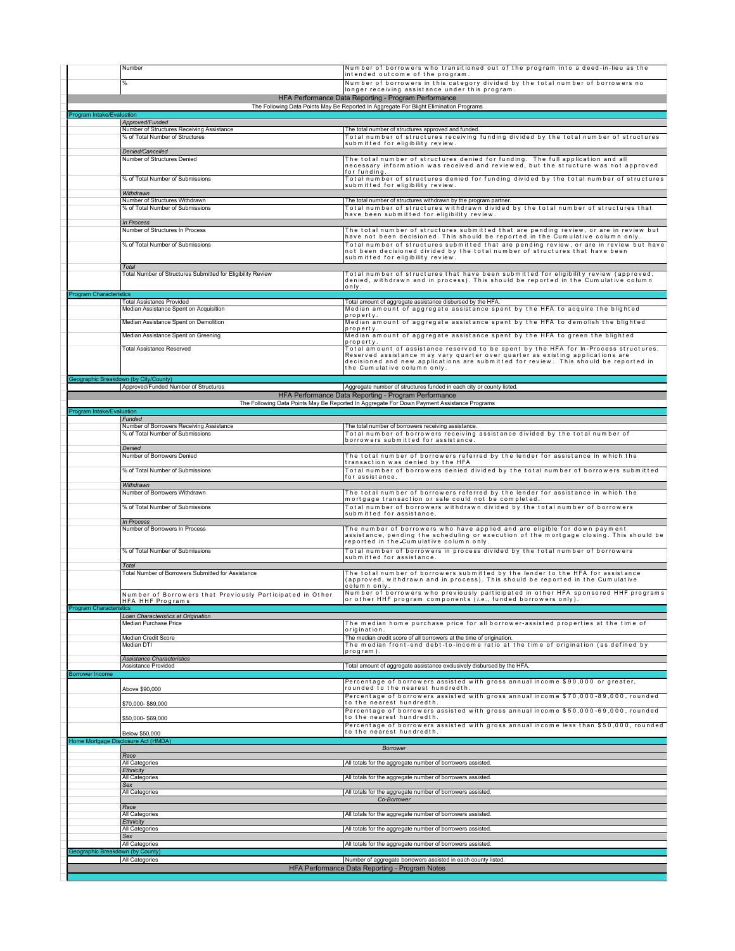|                                  | Number                                                                       | Number of borrowers who transitioned out of the program into a deed-in-lieu as the<br>intended outcome of the program.                                                                                                                                                                         |
|----------------------------------|------------------------------------------------------------------------------|------------------------------------------------------------------------------------------------------------------------------------------------------------------------------------------------------------------------------------------------------------------------------------------------|
|                                  | %                                                                            | Number of borrowers in this category divided by the total number of borrowers no                                                                                                                                                                                                               |
|                                  |                                                                              | longer receiving assistance under this program.<br>HFA Performance Data Reporting - Program Performance                                                                                                                                                                                        |
|                                  |                                                                              | The Following Data Points May Be Reported In Aggregate For Blight Elimination Programs                                                                                                                                                                                                         |
| Program Intake/Evaluation        | Approved/Funded                                                              |                                                                                                                                                                                                                                                                                                |
|                                  | Number of Structures Receiving Assistance<br>% of Total Number of Structures | The total number of structures approved and funded.<br>Total number of structures receiving funding divided by the total number of structures                                                                                                                                                  |
|                                  | Denied/Cancelled                                                             | submitted for eligibility review.                                                                                                                                                                                                                                                              |
|                                  | Number of Structures Denied                                                  | The total number of structures denied for funding. The full application and all                                                                                                                                                                                                                |
|                                  |                                                                              | necessary information was received and reviewed, but the structure was not approved<br>for funding.                                                                                                                                                                                            |
|                                  | % of Total Number of Submissions                                             | Total number of structures denied for funding divided by the total number of structures<br>submitted for eligibility review.                                                                                                                                                                   |
|                                  | Withdrawn<br>Number of Structures Withdrawn                                  | The total number of structures withdrawn by the program partner.                                                                                                                                                                                                                               |
|                                  | % of Total Number of Submissions                                             | Total number of structures withdrawn divided by the total number of structures that                                                                                                                                                                                                            |
|                                  | In Process                                                                   | have been submitted for eligibility review.                                                                                                                                                                                                                                                    |
|                                  | Number of Structures In Process                                              | The total number of structures submitted that are pending review, or are in review but<br>have not been decisioned. This should be reported in the Cumulative column only.                                                                                                                     |
|                                  | % of Total Number of Submissions                                             | Total number of structures submitted that are pending review, or are in review but have<br>not been decisioned divided by the total number of structures that have been<br>submitted for eligibility review.                                                                                   |
|                                  | Total                                                                        |                                                                                                                                                                                                                                                                                                |
|                                  | Total Number of Structures Submitted for Eligibility Review                  | Total number of structures that have been submitted for eligibility review (approved,<br>denied, withdrawn and in process). This should be reported in the Cumulative column                                                                                                                   |
| <b>Program Characteristics</b>   |                                                                              | lo n Iv.                                                                                                                                                                                                                                                                                       |
|                                  | <b>Total Assistance Provided</b><br>Median Assistance Spent on Acquisition   | Total amount of aggregate assistance disbursed by the HFA.<br>Median amount of aggregate assistance spent by the HFA to acquire the blighted                                                                                                                                                   |
|                                  | Median Assistance Spent on Demolition                                        | property<br>Median amount of aggregate assistance spent by the HFA to demolish the blighted                                                                                                                                                                                                    |
|                                  | Median Assistance Spent on Greening                                          | property<br>Median amount of aggregate assistance spent by the HFA to green the blighted                                                                                                                                                                                                       |
|                                  | <b>Total Assistance Reserved</b>                                             | property                                                                                                                                                                                                                                                                                       |
|                                  |                                                                              | Total amount of assistance reserved to be spent by the HFA for In-Process structures.<br>Reserved assistance may vary quarter over quarter as existing applications are<br>decisioned and new applications are submitted for review. This should be reported in<br>the Cumulative column only. |
|                                  | Geographic Breakdown (by City/County)                                        |                                                                                                                                                                                                                                                                                                |
|                                  | Approved/Funded Number of Structures                                         | Aggregate number of structures funded in each city or county listed.                                                                                                                                                                                                                           |
|                                  |                                                                              | HFA Performance Data Reporting - Program Performance<br>The Following Data Points May Be Reported In Aggregate For Down Payment Assistance Programs                                                                                                                                            |
| Program Intake/Evaluation        | Funded                                                                       |                                                                                                                                                                                                                                                                                                |
|                                  | Number of Borrowers Receiving Assistance                                     | The total number of borrowers receiving assistance.                                                                                                                                                                                                                                            |
|                                  | % of Total Number of Submissions                                             | Total number of borrowers receiving assistance divided by the total number of<br>borrowers submitted for assistance.                                                                                                                                                                           |
|                                  | Denied<br>Number of Borrowers Denied                                         | The total number of borrowers referred by the lender for assistance in which the                                                                                                                                                                                                               |
|                                  | % of Total Number of Submissions                                             | transaction was denied by the HFA<br>Total number of borrowers denied divided by the total number of borrowers submitted                                                                                                                                                                       |
|                                  |                                                                              | for assistance.                                                                                                                                                                                                                                                                                |
|                                  | Withdrawn<br>Number of Borrowers Withdrawn                                   | The total number of borrowers referred by the lender for assistance in which the                                                                                                                                                                                                               |
|                                  | % of Total Number of Submissions                                             | mortgage transaction or sale could not be completed.<br>Total number of borrowers withdrawn divided by the total number of borrowers                                                                                                                                                           |
|                                  |                                                                              | submitted for assistance.                                                                                                                                                                                                                                                                      |
|                                  | In Process<br>Number of Borrowers In Process                                 | The number of borrowers who have applied and are eligible for down payment                                                                                                                                                                                                                     |
|                                  |                                                                              | assistance, pending the scheduling or execution of the mortgage closing. This should be<br>reported in the-Cumulative column only.                                                                                                                                                             |
|                                  | % of Total Number of Submissions                                             | Total number of borrowers in process divided by the total number of borrowers<br>submitted for assistance.                                                                                                                                                                                     |
|                                  | Total                                                                        |                                                                                                                                                                                                                                                                                                |
|                                  | Total Number of Borrowers Submitted for Assistance                           | The total number of borrowers submitted by the lender to the HFA for assistance<br>(approved, withdrawn and in process). This should be reported in the Cumulative                                                                                                                             |
|                                  | Number of Borrowers that Previously Participated in Other                    | column only.<br>Number of borrowers who previously participated in other HFA sponsored HHF programs                                                                                                                                                                                            |
| <b>Program Characteristics</b>   | HFA HHF Programs                                                             | or other HHF program components ( <i>i.</i> e., funded borrowers only).                                                                                                                                                                                                                        |
|                                  | Loan Characteristics at Origination<br>Median Purchase Price                 | The median home purchase price for all borrower-assisted properties at the time of                                                                                                                                                                                                             |
|                                  |                                                                              | origination.                                                                                                                                                                                                                                                                                   |
|                                  | <b>Median Credit Score</b><br>Median DTI                                     | The median credit score of all borrowers at the time of origination.<br>The median front-end debt-to-income ratio at the time of origination (as defined by                                                                                                                                    |
|                                  | <b>Assistance Characteristics</b>                                            | program)                                                                                                                                                                                                                                                                                       |
|                                  | Assistance Provided                                                          | Total amount of aggregate assistance exclusively disbursed by the HFA.                                                                                                                                                                                                                         |
| <b>Borrower Income</b>           |                                                                              | Percentage of borrowers assisted with gross annual income \$90,000 or greater,                                                                                                                                                                                                                 |
|                                  | Above \$90,000                                                               | rounded to the nearest hundredth.<br>Percentage of borrowers assisted with gross annual income \$70,000-89,000, rounded                                                                                                                                                                        |
|                                  | \$70,000-\$89,000                                                            | to the nearest hundredth.<br>Percentage of borrowers assisted with gross annual income \$50,000-69,000, rounded                                                                                                                                                                                |
|                                  | \$50,000-\$69,000                                                            | to the nearest hundredth.                                                                                                                                                                                                                                                                      |
|                                  | Below \$50,000                                                               | Percentage of borrowers assisted with gross annual income less than \$50,000, rounded<br>to the nearest hundredth.                                                                                                                                                                             |
|                                  | Home Mortgage Disclosure Act (HMDA)                                          | <b>Borrower</b>                                                                                                                                                                                                                                                                                |
|                                  | Race                                                                         |                                                                                                                                                                                                                                                                                                |
|                                  | All Categories<br>Ethnicity                                                  | All totals for the aggregate number of borrowers assisted.                                                                                                                                                                                                                                     |
|                                  | All Categories<br>Sex                                                        | All totals for the aggregate number of borrowers assisted.                                                                                                                                                                                                                                     |
|                                  | All Categories                                                               | All totals for the aggregate number of borrowers assisted.                                                                                                                                                                                                                                     |
|                                  | Race                                                                         | Co-Borrower                                                                                                                                                                                                                                                                                    |
|                                  | All Categories<br>Ethnicity                                                  | All totals for the aggregate number of borrowers assisted.                                                                                                                                                                                                                                     |
|                                  | All Categories<br>Sex                                                        | All totals for the aggregate number of borrowers assisted.                                                                                                                                                                                                                                     |
|                                  | All Categories                                                               | All totals for the aggregate number of borrowers assisted.                                                                                                                                                                                                                                     |
|                                  |                                                                              |                                                                                                                                                                                                                                                                                                |
| Geographic Breakdown (by County) | All Categories                                                               | Number of aggregate borrowers assisted in each county listed.                                                                                                                                                                                                                                  |